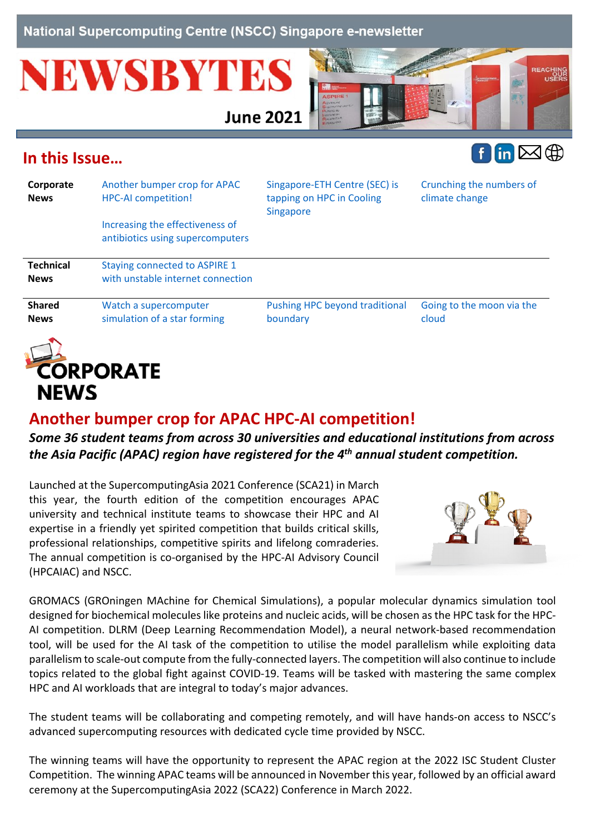National Supercomputing Centre (NSCC) Singapore e-newsletter

# **NEWSBYTES**

**June 2021** 



## <span id="page-0-1"></span>**In this Issue…**



|                                 | Increasing the effectiveness of                                           |                                            |                                    |
|---------------------------------|---------------------------------------------------------------------------|--------------------------------------------|------------------------------------|
|                                 | antibiotics using supercomputers                                          |                                            |                                    |
| <b>Technical</b><br><b>News</b> | <b>Staying connected to ASPIRE 1</b><br>with unstable internet connection |                                            |                                    |
| <b>Shared</b><br><b>News</b>    | Watch a supercomputer<br>simulation of a star forming                     | Pushing HPC beyond traditional<br>boundary | Going to the moon via the<br>cloud |



# <span id="page-0-0"></span>**Another bumper crop for APAC HPC-AI competition!**

#### *Some 36 student teams from across 30 universities and educational institutions from across the Asia Pacific (APAC) region have registered for the 4th annual student competition.*

Launched at the SupercomputingAsia 2021 Conference (SCA21) in March this year, the fourth edition of the competition encourages APAC university and technical institute teams to showcase their HPC and AI expertise in a friendly yet spirited competition that builds critical skills, professional relationships, competitive spirits and lifelong comraderies. The annual competition is co-organised by the HPC-AI Advisory Council (HPCAIAC) and NSCC.



GROMACS (GROningen MAchine for Chemical Simulations), a popular molecular dynamics simulation tool designed for biochemical molecules like proteins and nucleic acids, will be chosen as the HPC task for the HPC-AI competition. DLRM (Deep Learning Recommendation Model), a neural network-based recommendation tool, will be used for the AI task of the competition to utilise the model parallelism while exploiting data parallelism to scale-out compute from the fully-connected layers. The competition will also continue to include topics related to the global fight against COVID-19. Teams will be tasked with mastering the same complex HPC and AI workloads that are integral to today's major advances.

The student teams will be collaborating and competing remotely, and will have hands-on access to NSCC's advanced supercomputing resources with dedicated cycle time provided by NSCC.

The winning teams will have the opportunity to represent the APAC region at the 2022 ISC Student Cluster Competition. The winning APAC teams will be announced in November this year, followed by an official award ceremony at the SupercomputingAsia 2022 (SCA22) Conference in March 2022.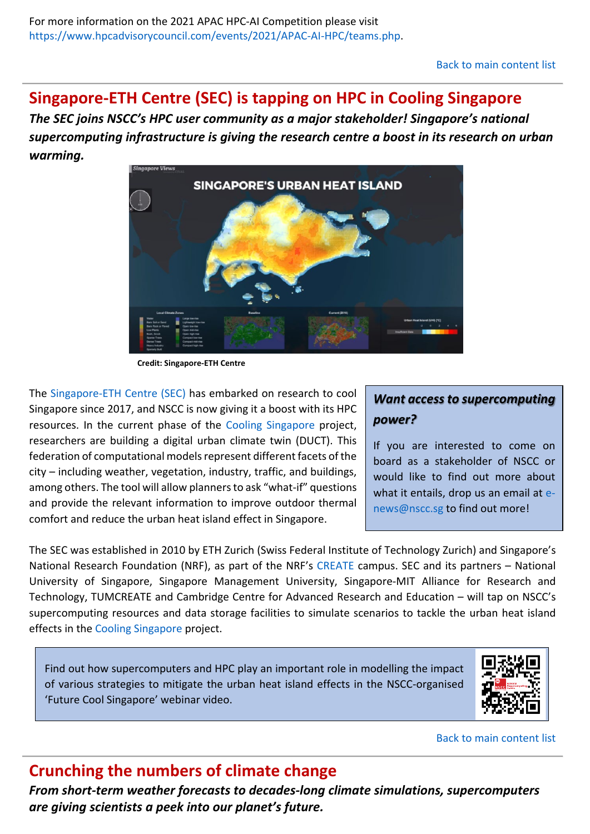#### <span id="page-1-0"></span>**Singapore-ETH Centre (SEC) is tapping on HPC in Cooling Singapore**

*The SEC joins NSCC's HPC user community as a major stakeholder! Singapore's national supercomputing infrastructure is giving the research centre a boost in its research on urban warming.*



**Credit: Singapore-ETH Centre**

The [Singapore-ETH Centre \(SEC\)](https://sec.ethz.ch/) has embarked on research to cool Singapore since 2017, and NSCC is now giving it a boost with its HPC resources. In the current phase of the [Cooling Singapore](https://sec.ethz.ch/research/cs.html) project, researchers are building a digital urban climate twin (DUCT). This federation of computational models represent different facets of the city – including weather, vegetation, industry, traffic, and buildings, among others. The tool will allow planners to ask "what-if" questions and provide the relevant information to improve outdoor thermal comfort and reduce the urban heat island effect in Singapore.

#### *Want access to supercomputing power?*

If you are interested to come on board as a stakeholder of NSCC or would like to find out more about what it entails, drop us an email at [e](mailto:e-news@nscc.sg)[news@nscc.sg](mailto:e-news@nscc.sg) to find out more!

The SEC was established in 2010 by ETH Zurich (Swiss Federal Institute of Technology Zurich) and Singapore's National Research Foundation (NRF), as part of the NRF's [CREATE](https://www.create.edu.sg/) campus. SEC and its partners – National University of Singapore, Singapore Management University, Singapore-MIT Alliance for Research and Technology, TUMCREATE and Cambridge Centre for Advanced Research and Education – will tap on NSCC's supercomputing resources and data storage facilities to simulate scenarios to tackle the urban heat island effects in the [Cooling Singapore](https://sec.ethz.ch/research/cs.html) project.

Find out how supercomputers and HPC play an important role in modelling the impact of various strategies to mitigate the urban heat island effects in the NSCC-organised 'Future Cool Singapore' webinar video.



[Back to main content list](#page-0-1)

## <span id="page-1-1"></span>**Crunching the numbers of climate change**

*From short-term weather forecasts to decades-long climate simulations, supercomputers are giving scientists a peek into our planet's future.*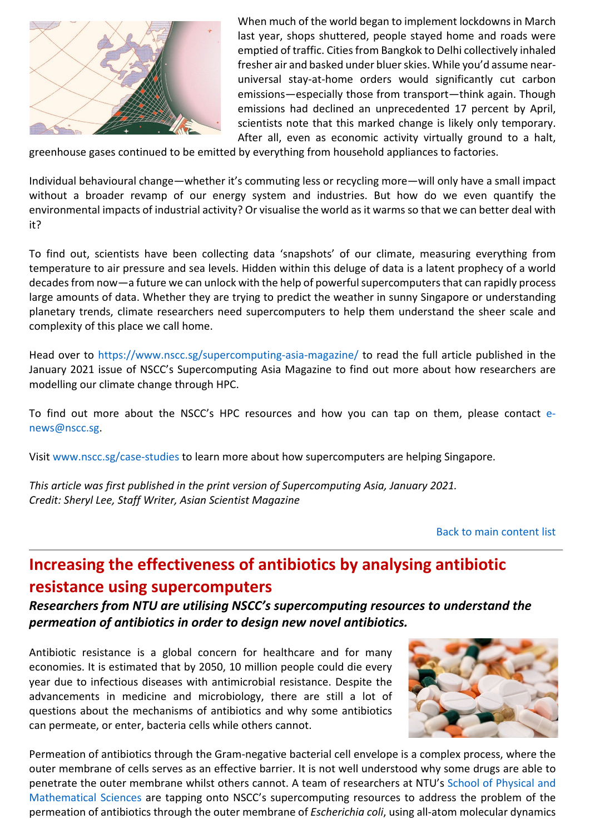

When much of the world began to implement lockdowns in March last year, shops shuttered, people stayed home and roads were emptied of traffic. Cities from Bangkok to Delhi collectively inhaled fresher air and basked under bluer skies. While you'd assume nearuniversal stay-at-home orders would significantly cut carbon emissions—especially those from transport—think again. Though emissions had declined an unprecedented 17 percent by April, scientists note that this marked change is likely only temporary. After all, even as economic activity virtually ground to a halt,

greenhouse gases continued to be emitted by everything from household appliances to factories.

Individual behavioural change—whether it's commuting less or recycling more—will only have a small impact without a broader revamp of our energy system and industries. But how do we even quantify the environmental impacts of industrial activity? Or visualise the world as it warms so that we can better deal with it?

To find out, scientists have been collecting data 'snapshots' of our climate, measuring everything from temperature to air pressure and sea levels. Hidden within this deluge of data is a latent prophecy of a world decades from now—a future we can unlock with the help of powerful supercomputers that can rapidly process large amounts of data. Whether they are trying to predict the weather in sunny Singapore or understanding planetary trends, climate researchers need supercomputers to help them understand the sheer scale and complexity of this place we call home.

Head over to<https://www.nscc.sg/supercomputing-asia-magazine/> to read the full article published in the January 2021 issue of NSCC's Supercomputing Asia Magazine to find out more about how researchers are modelling our climate change through HPC.

To find out more about the NSCC's HPC resources and how you can tap on them, please contact [e](mailto:e-news@nscc.sg)[news@nscc.sg.](mailto:e-news@nscc.sg)

Visit www.nscc.sg/case-studies to learn more about how supercomputers are helping Singapore.

*This article was first published in the print version of Supercomputing Asia, January 2021. Credit: Sheryl Lee, Staff Writer, Asian Scientist Magazine*

[Back to main content list](#page-0-1)

# <span id="page-2-0"></span>**Increasing the effectiveness of antibiotics by analysing antibiotic resistance using supercomputers**

*Researchers from NTU are utilising NSCC's supercomputing resources to understand the permeation of antibiotics in order to design new novel antibiotics.*

Antibiotic resistance is a global concern for healthcare and for many economies. It is estimated that by 2050, 10 million people could die every year due to infectious diseases with antimicrobial resistance. Despite the advancements in medicine and microbiology, there are still a lot of questions about the mechanisms of antibiotics and why some antibiotics can permeate, or enter, bacteria cells while others cannot.



Permeation of antibiotics through the Gram-negative bacterial cell envelope is a complex process, where the outer membrane of cells serves as an effective barrier. It is not well understood why some drugs are able to penetrate the outer membrane whilst others cannot. A team of researchers at NTU's [School of Physical and](https://www.ntu.edu.sg/spms)  [Mathematical Sciences](https://www.ntu.edu.sg/spms) are tapping onto NSCC's supercomputing resources to address the problem of the permeation of antibiotics through the outer membrane of *Escherichia coli*, using all-atom molecular dynamics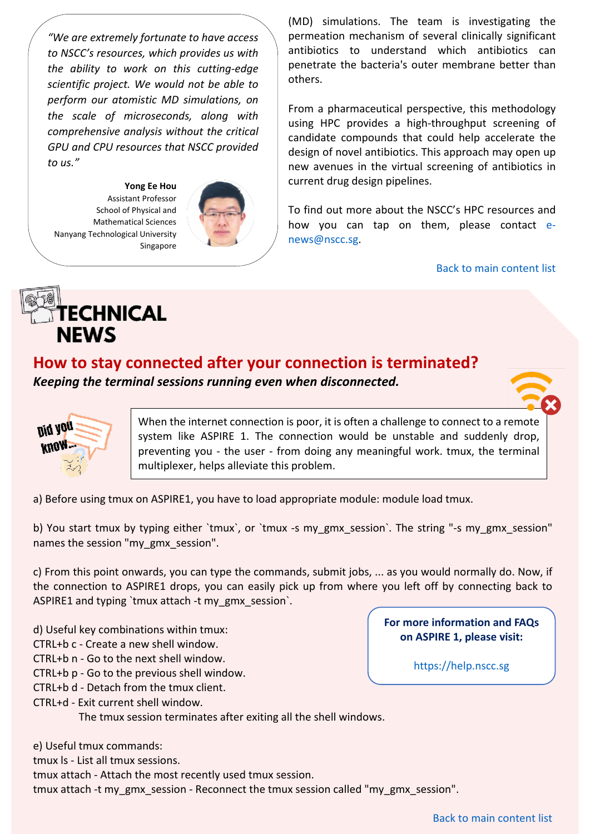*"We are extremely fortunate to have access to NSCC's resources, which provides us with the ability to work on this cutting-edge scientific project. We would not be able to perform our atomistic MD simulations, on the scale of microseconds, along with comprehensive analysis without the critical GPU and CPU resources that NSCC provided to us."*

**Yong Ee Hou** Assistant Professor School of Physical and Mathematical Sciences Nanyang Technological University Singapore



(MD) simulations. The team is investigating the permeation mechanism of several clinically significant antibiotics to understand which antibiotics can penetrate the bacteria's outer membrane better than others.

From a pharmaceutical perspective, this methodology using HPC provides a high-throughput screening of candidate compounds that could help accelerate the design of novel antibiotics. This approach may open up new avenues in the virtual screening of antibiotics in current drug design pipelines.

To find out more about the NSCC's HPC resources and how you can tap on them, please contact [e](mailto:e-news@nscc.sg)[news@nscc.sg.](mailto:e-news@nscc.sg)

[Back to main content list](#page-0-1)



## <span id="page-3-0"></span>**How to stay connected after your connection is terminated?**

*Keeping the terminal sessions running even when disconnected.*



When the internet connection is poor, it is often a challenge to connect to a remote system like ASPIRE 1. The connection would be unstable and suddenly drop, preventing you - the user - from doing any meaningful work. tmux, the terminal multiplexer, helps alleviate this problem.

a) Before using tmux on ASPIRE1, you have to load appropriate module: module load tmux.

b) You start tmux by typing either `tmux`, or `tmux -s my\_gmx\_session`. The string "-s my\_gmx\_session" names the session "my\_gmx\_session".

c) From this point onwards, you can type the commands, submit jobs, ... as you would normally do. Now, if the connection to ASPIRE1 drops, you can easily pick up from where you left off by connecting back to ASPIRE1 and typing `tmux attach -t my\_gmx\_session`.

d) Useful key combinations within tmux:

CTRL+b c - Create a new shell window.

CTRL+b n - Go to the next shell window.

CTRL+b p - Go to the previous shell window.

CTRL+b d - Detach from the tmux client.

CTRL+d - Exit current shell window.

The tmux session terminates after exiting all the shell windows.

e) Useful tmux commands:

tmux ls - List all tmux sessions.

tmux attach - Attach the most recently used tmux session.

tmux attach -t my\_gmx\_session - Reconnect the tmux session called "my\_gmx\_session".



**For more information and FAQs on ASPIRE 1, please visit:** 

[https://help.nscc.sg](https://help.nscc.sg/)